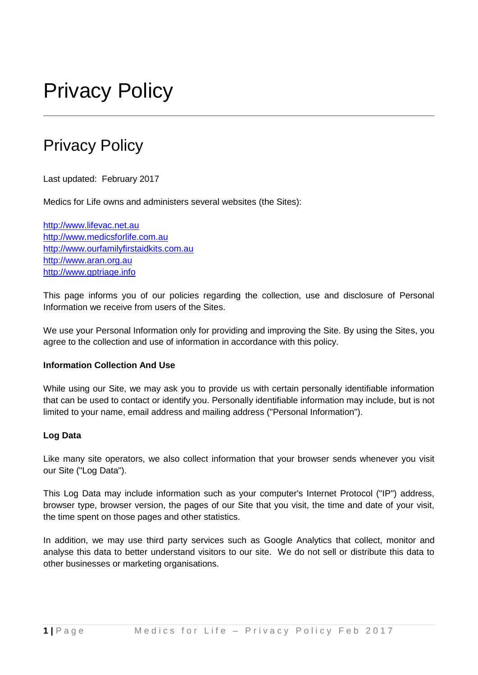# Privacy Policy

# Privacy Policy

Last updated: February 2017

Medics for Life owns and administers several websites (the Sites):

[http://www.lifevac.net.au](http://www.lifevac.net.au/) [http://www.medicsforlife.com.au](http://www.medicsforlife.com.au/) [http://www.ourfamilyfirstaidkits.com.au](http://www.ourfamilyfirstaidkits.com.au/) [http://www.aran.org.au](http://www.aran.org.au/) [http://www.gptriage.info](http://www.gptriage.info/)

This page informs you of our policies regarding the collection, use and disclosure of Personal Information we receive from users of the Sites.

We use your Personal Information only for providing and improving the Site. By using the Sites, you agree to the collection and use of information in accordance with this policy.

# **Information Collection And Use**

While using our Site, we may ask you to provide us with certain personally identifiable information that can be used to contact or identify you. Personally identifiable information may include, but is not limited to your name, email address and mailing address ("Personal Information").

# **Log Data**

Like many site operators, we also collect information that your browser sends whenever you visit our Site ("Log Data").

This Log Data may include information such as your computer's Internet Protocol ("IP") address, browser type, browser version, the pages of our Site that you visit, the time and date of your visit, the time spent on those pages and other statistics.

In addition, we may use third party services such as Google Analytics that collect, monitor and analyse this data to better understand visitors to our site. We do not sell or distribute this data to other businesses or marketing organisations.